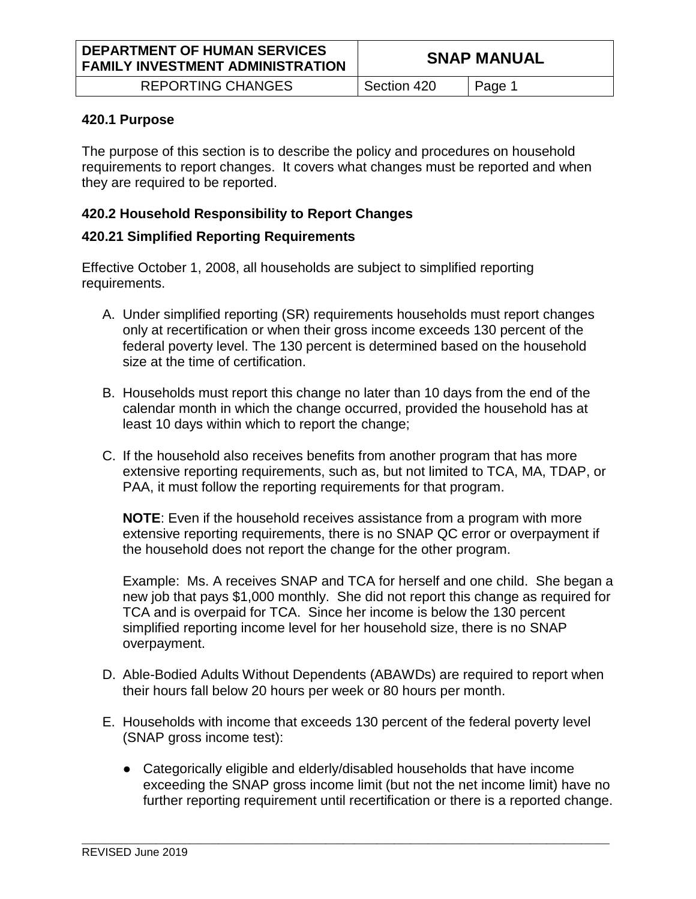REPORTING CHANGES Section 420 Page 1

#### **420.1 Purpose**

The purpose of this section is to describe the policy and procedures on household requirements to report changes. It covers what changes must be reported and when they are required to be reported.

# **420.2 Household Responsibility to Report Changes**

# **420.21 Simplified Reporting Requirements**

Effective October 1, 2008, all households are subject to simplified reporting requirements.

- A. Under simplified reporting (SR) requirements households must report changes only at recertification or when their gross income exceeds 130 percent of the federal poverty level. The 130 percent is determined based on the household size at the time of certification.
- B. Households must report this change no later than 10 days from the end of the calendar month in which the change occurred, provided the household has at least 10 days within which to report the change;
- C. If the household also receives benefits from another program that has more extensive reporting requirements, such as, but not limited to TCA, MA, TDAP, or PAA, it must follow the reporting requirements for that program.

**NOTE**: Even if the household receives assistance from a program with more extensive reporting requirements, there is no SNAP QC error or overpayment if the household does not report the change for the other program.

Example: Ms. A receives SNAP and TCA for herself and one child. She began a new job that pays \$1,000 monthly. She did not report this change as required for TCA and is overpaid for TCA. Since her income is below the 130 percent simplified reporting income level for her household size, there is no SNAP overpayment.

- D. Able-Bodied Adults Without Dependents (ABAWDs) are required to report when their hours fall below 20 hours per week or 80 hours per month.
- E. Households with income that exceeds 130 percent of the federal poverty level (SNAP gross income test):

\_\_\_\_\_\_\_\_\_\_\_\_\_\_\_\_\_\_\_\_\_\_\_\_\_\_\_\_\_\_\_\_\_\_\_\_\_\_\_\_\_\_\_\_\_\_\_\_\_\_\_\_\_\_\_\_\_\_\_\_\_\_\_\_\_\_\_\_\_\_\_\_\_\_\_\_\_\_\_\_\_\_\_\_\_\_\_\_\_\_\_\_\_

● Categorically eligible and elderly/disabled households that have income exceeding the SNAP gross income limit (but not the net income limit) have no further reporting requirement until recertification or there is a reported change.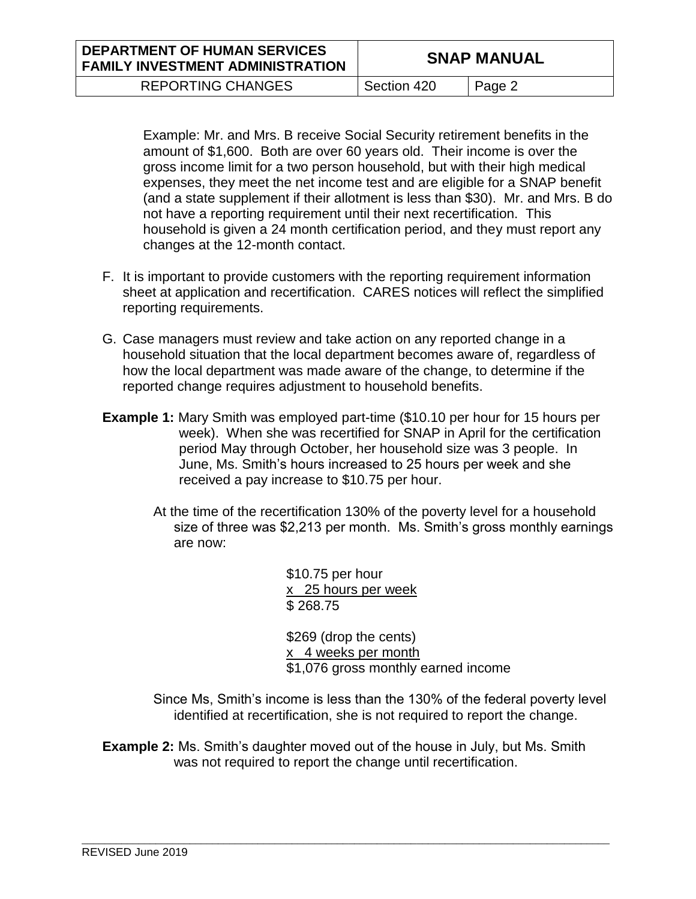| <b>DEPARTMENT OF HUMAN SERVICES</b><br><b>FAMILY INVESTMENT ADMINISTRATION</b> |             | <b>SNAP MANUAL</b> |
|--------------------------------------------------------------------------------|-------------|--------------------|
| <b>REPORTING CHANGES</b>                                                       | Section 420 | Page 2             |

Example: Mr. and Mrs. B receive Social Security retirement benefits in the amount of \$1,600. Both are over 60 years old. Their income is over the gross income limit for a two person household, but with their high medical expenses, they meet the net income test and are eligible for a SNAP benefit (and a state supplement if their allotment is less than \$30). Mr. and Mrs. B do not have a reporting requirement until their next recertification. This household is given a 24 month certification period, and they must report any changes at the 12-month contact.

- F. It is important to provide customers with the reporting requirement information sheet at application and recertification. CARES notices will reflect the simplified reporting requirements.
- G. Case managers must review and take action on any reported change in a household situation that the local department becomes aware of, regardless of how the local department was made aware of the change, to determine if the reported change requires adjustment to household benefits.
- **Example 1:** Mary Smith was employed part-time (\$10.10 per hour for 15 hours per week). When she was recertified for SNAP in April for the certification period May through October, her household size was 3 people. In June, Ms. Smith's hours increased to 25 hours per week and she received a pay increase to \$10.75 per hour.
	- At the time of the recertification 130% of the poverty level for a household size of three was \$2,213 per month. Ms. Smith's gross monthly earnings are now:

\$10.75 per hour x 25 hours per week \$ 268.75

\$269 (drop the cents) x 4 weeks per month \$1,076 gross monthly earned income

Since Ms, Smith's income is less than the 130% of the federal poverty level identified at recertification, she is not required to report the change.

**Example 2:** Ms. Smith's daughter moved out of the house in July, but Ms. Smith was not required to report the change until recertification.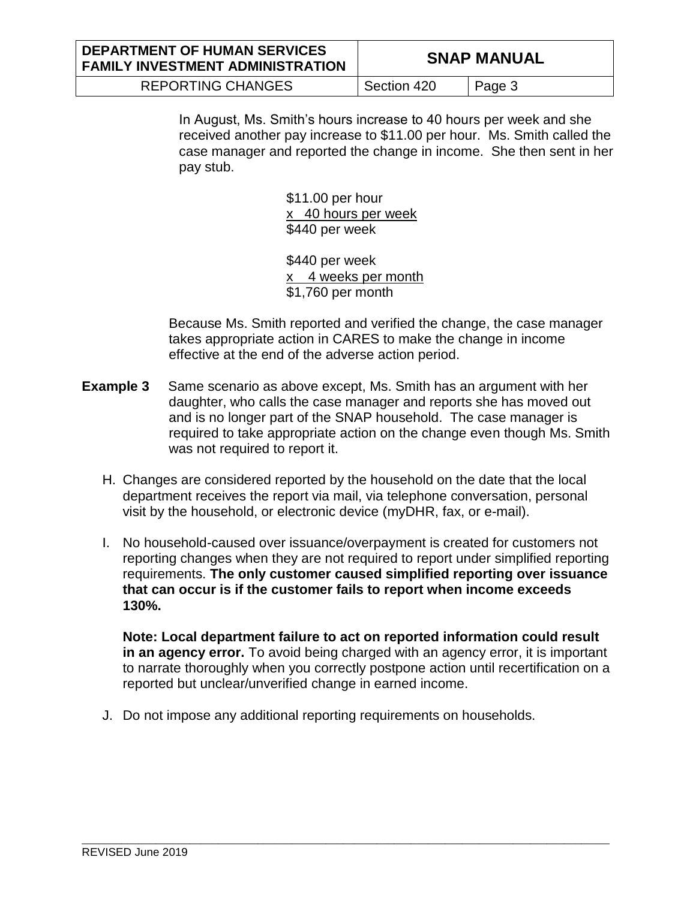| <b>DEPARTMENT OF HUMAN SERVICES</b><br><b>FAMILY INVESTMENT ADMINISTRATION</b> |             | <b>SNAP MANUAL</b> |
|--------------------------------------------------------------------------------|-------------|--------------------|
| <b>REPORTING CHANGES</b>                                                       | Section 420 | Page 3             |

In August, Ms. Smith's hours increase to 40 hours per week and she received another pay increase to \$11.00 per hour. Ms. Smith called the case manager and reported the change in income. She then sent in her pay stub.

> \$11.00 per hour x 40 hours per week \$440 per week

\$440 per week x 4 weeks per month \$1,760 per month

Because Ms. Smith reported and verified the change, the case manager takes appropriate action in CARES to make the change in income effective at the end of the adverse action period.

- **Example 3** Same scenario as above except, Ms. Smith has an argument with her daughter, who calls the case manager and reports she has moved out and is no longer part of the SNAP household. The case manager is required to take appropriate action on the change even though Ms. Smith was not required to report it.
	- H. Changes are considered reported by the household on the date that the local department receives the report via mail, via telephone conversation, personal visit by the household, or electronic device (myDHR, fax, or e-mail).
	- I. No household-caused over issuance/overpayment is created for customers not reporting changes when they are not required to report under simplified reporting requirements. **The only customer caused simplified reporting over issuance that can occur is if the customer fails to report when income exceeds 130%.**

**Note: Local department failure to act on reported information could result in an agency error.** To avoid being charged with an agency error, it is important to narrate thoroughly when you correctly postpone action until recertification on a reported but unclear/unverified change in earned income.

J. Do not impose any additional reporting requirements on households.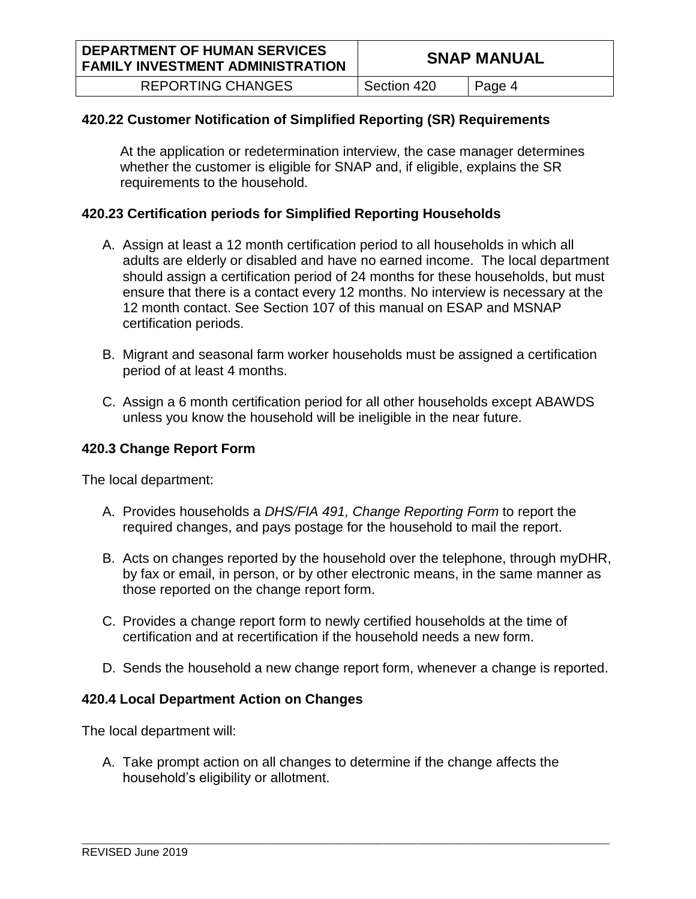REPORTING CHANGES | Section 420 | Page 4

# **420.22 Customer Notification of Simplified Reporting (SR) Requirements**

At the application or redetermination interview, the case manager determines whether the customer is eligible for SNAP and, if eligible, explains the SR requirements to the household.

## **420.23 Certification periods for Simplified Reporting Households**

- A. Assign at least a 12 month certification period to all households in which all adults are elderly or disabled and have no earned income. The local department should assign a certification period of 24 months for these households, but must ensure that there is a contact every 12 months. No interview is necessary at the 12 month contact. See Section 107 of this manual on ESAP and MSNAP certification periods.
- B. Migrant and seasonal farm worker households must be assigned a certification period of at least 4 months.
- C. Assign a 6 month certification period for all other households except ABAWDS unless you know the household will be ineligible in the near future.

### **420.3 Change Report Form**

The local department:

- A. Provides households a *DHS/FIA 491, Change Reporting Form* to report the required changes, and pays postage for the household to mail the report.
- B. Acts on changes reported by the household over the telephone, through myDHR, by fax or email, in person, or by other electronic means, in the same manner as those reported on the change report form.
- C. Provides a change report form to newly certified households at the time of certification and at recertification if the household needs a new form.
- D. Sends the household a new change report form, whenever a change is reported.

## **420.4 Local Department Action on Changes**

The local department will:

A. Take prompt action on all changes to determine if the change affects the household's eligibility or allotment.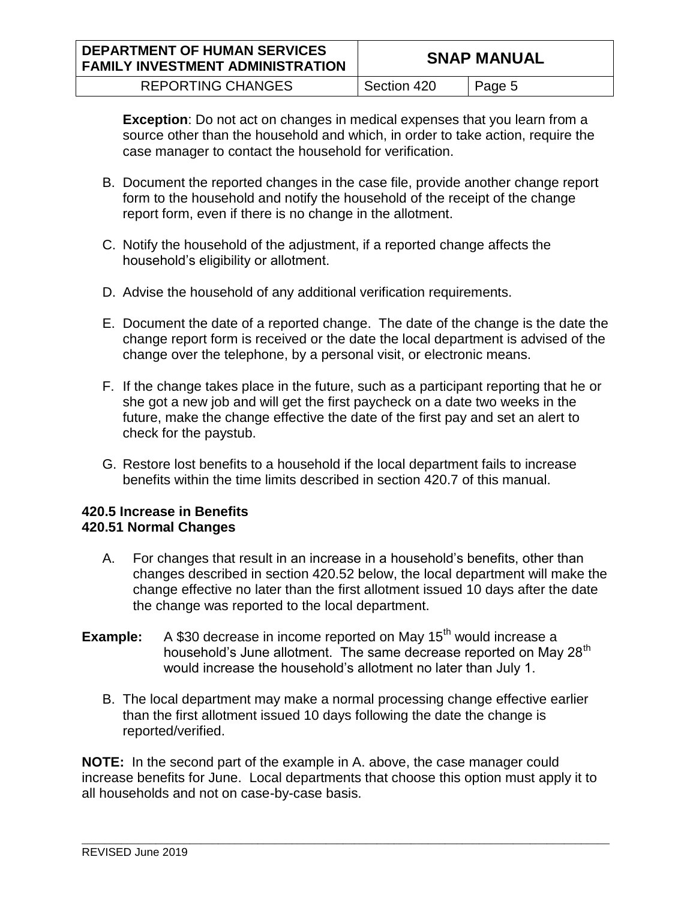| <b>DEPARTMENT OF HUMAN SERVICES</b><br><b>FAMILY INVESTMENT ADMINISTRATION</b> |             | <b>SNAP MANUAL</b> |
|--------------------------------------------------------------------------------|-------------|--------------------|
| <b>REPORTING CHANGES</b>                                                       | Section 420 | Page 5             |

**Exception**: Do not act on changes in medical expenses that you learn from a source other than the household and which, in order to take action, require the case manager to contact the household for verification.

- B. Document the reported changes in the case file, provide another change report form to the household and notify the household of the receipt of the change report form, even if there is no change in the allotment.
- C. Notify the household of the adjustment, if a reported change affects the household's eligibility or allotment.
- D. Advise the household of any additional verification requirements.
- E. Document the date of a reported change. The date of the change is the date the change report form is received or the date the local department is advised of the change over the telephone, by a personal visit, or electronic means.
- F. If the change takes place in the future, such as a participant reporting that he or she got a new job and will get the first paycheck on a date two weeks in the future, make the change effective the date of the first pay and set an alert to check for the paystub.
- G. Restore lost benefits to a household if the local department fails to increase benefits within the time limits described in section 420.7 of this manual.

## **420.5 Increase in Benefits 420.51 Normal Changes**

- A. For changes that result in an increase in a household's benefits, other than changes described in section 420.52 below, the local department will make the change effective no later than the first allotment issued 10 days after the date the change was reported to the local department.
- **Example:** A \$30 decrease in income reported on May 15<sup>th</sup> would increase a household's June allotment. The same decrease reported on May 28<sup>th</sup> would increase the household's allotment no later than July 1.
	- B. The local department may make a normal processing change effective earlier than the first allotment issued 10 days following the date the change is reported/verified.

**NOTE:** In the second part of the example in A. above, the case manager could increase benefits for June. Local departments that choose this option must apply it to all households and not on case-by-case basis.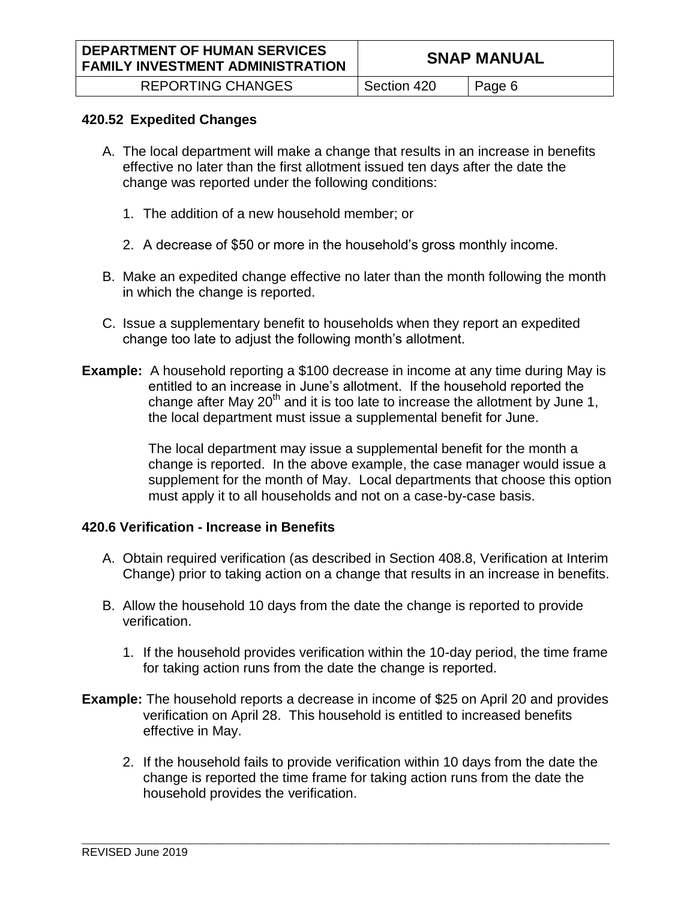#### **420.52 Expedited Changes**

- A. The local department will make a change that results in an increase in benefits effective no later than the first allotment issued ten days after the date the change was reported under the following conditions:
	- 1. The addition of a new household member; or
	- 2. A decrease of \$50 or more in the household's gross monthly income.
- B. Make an expedited change effective no later than the month following the month in which the change is reported.
- C. Issue a supplementary benefit to households when they report an expedited change too late to adjust the following month's allotment.
- **Example:** A household reporting a \$100 decrease in income at any time during May is entitled to an increase in June's allotment. If the household reported the change after May  $20<sup>th</sup>$  and it is too late to increase the allotment by June 1, the local department must issue a supplemental benefit for June.

The local department may issue a supplemental benefit for the month a change is reported. In the above example, the case manager would issue a supplement for the month of May. Local departments that choose this option must apply it to all households and not on a case-by-case basis.

#### **420.6 Verification - Increase in Benefits**

- A. Obtain required verification (as described in Section 408.8, Verification at Interim Change) prior to taking action on a change that results in an increase in benefits.
- B. Allow the household 10 days from the date the change is reported to provide verification.
	- 1. If the household provides verification within the 10-day period, the time frame for taking action runs from the date the change is reported.
- **Example:** The household reports a decrease in income of \$25 on April 20 and provides verification on April 28. This household is entitled to increased benefits effective in May.

\_\_\_\_\_\_\_\_\_\_\_\_\_\_\_\_\_\_\_\_\_\_\_\_\_\_\_\_\_\_\_\_\_\_\_\_\_\_\_\_\_\_\_\_\_\_\_\_\_\_\_\_\_\_\_\_\_\_\_\_\_\_\_\_\_\_\_\_\_\_\_\_\_\_\_\_\_\_\_\_\_\_\_\_\_\_\_\_\_\_\_\_\_

2. If the household fails to provide verification within 10 days from the date the change is reported the time frame for taking action runs from the date the household provides the verification.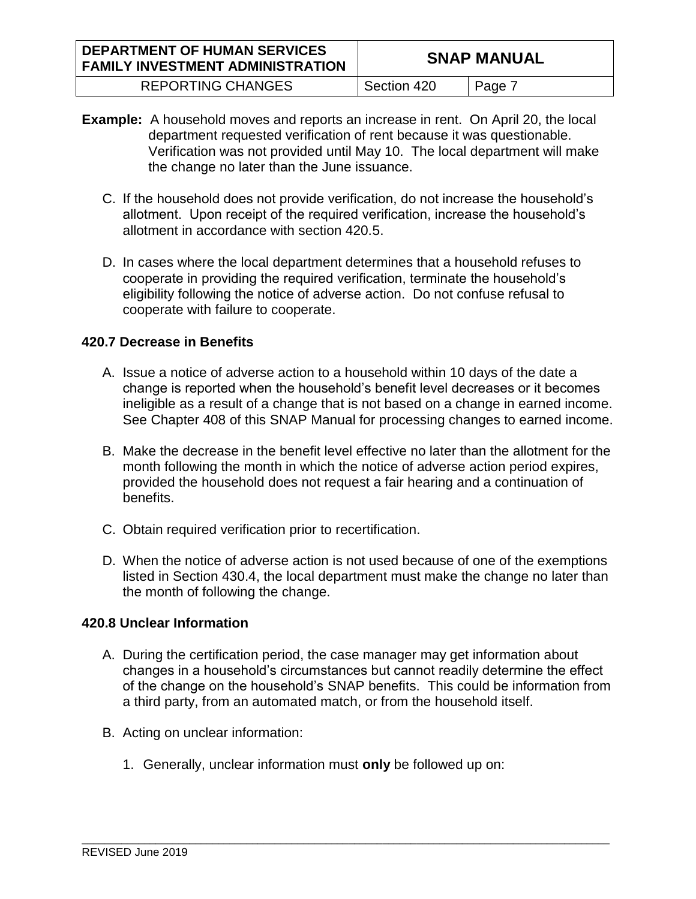| <b>DEPARTMENT OF HUMAN SERVICES</b><br><b>FAMILY INVESTMENT ADMINISTRATION</b> |             | <b>SNAP MANUAL</b> |
|--------------------------------------------------------------------------------|-------------|--------------------|
| <b>REPORTING CHANGES</b>                                                       | Section 420 | Page 7             |

- **Example:** A household moves and reports an increase in rent. On April 20, the local department requested verification of rent because it was questionable. Verification was not provided until May 10. The local department will make the change no later than the June issuance.
	- C. If the household does not provide verification, do not increase the household's allotment. Upon receipt of the required verification, increase the household's allotment in accordance with section 420.5.
	- D. In cases where the local department determines that a household refuses to cooperate in providing the required verification, terminate the household's eligibility following the notice of adverse action. Do not confuse refusal to cooperate with failure to cooperate.

# **420.7 Decrease in Benefits**

- A. Issue a notice of adverse action to a household within 10 days of the date a change is reported when the household's benefit level decreases or it becomes ineligible as a result of a change that is not based on a change in earned income. See Chapter 408 of this SNAP Manual for processing changes to earned income.
- B. Make the decrease in the benefit level effective no later than the allotment for the month following the month in which the notice of adverse action period expires, provided the household does not request a fair hearing and a continuation of benefits.
- C. Obtain required verification prior to recertification.
- D. When the notice of adverse action is not used because of one of the exemptions listed in Section 430.4, the local department must make the change no later than the month of following the change.

# **420.8 Unclear Information**

A. During the certification period, the case manager may get information about changes in a household's circumstances but cannot readily determine the effect of the change on the household's SNAP benefits. This could be information from a third party, from an automated match, or from the household itself.

- B. Acting on unclear information:
	- 1. Generally, unclear information must **only** be followed up on: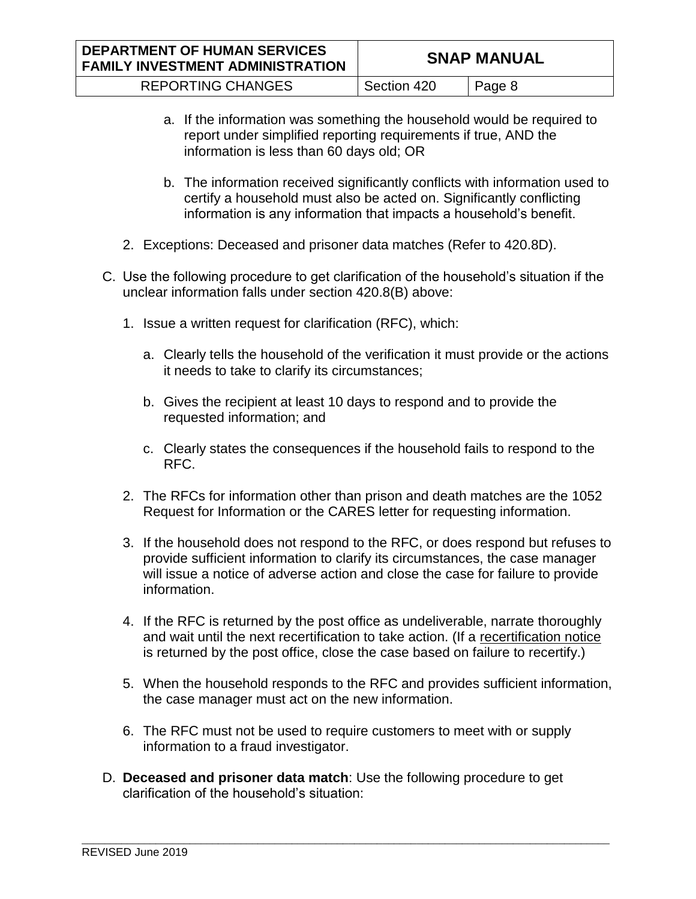| <b>DEPARTMENT OF HUMAN SERVICES</b><br><b>FAMILY INVESTMENT ADMINISTRATION</b> |             | <b>SNAP MANUAL</b> |
|--------------------------------------------------------------------------------|-------------|--------------------|
| <b>REPORTING CHANGES</b>                                                       | Section 420 | Page 8             |

- a. If the information was something the household would be required to report under simplified reporting requirements if true, AND the information is less than 60 days old; OR
- b. The information received significantly conflicts with information used to certify a household must also be acted on. Significantly conflicting information is any information that impacts a household's benefit.
- 2. Exceptions: Deceased and prisoner data matches (Refer to 420.8D).
- C. Use the following procedure to get clarification of the household's situation if the unclear information falls under section 420.8(B) above:
	- 1. Issue a written request for clarification (RFC), which:
		- a. Clearly tells the household of the verification it must provide or the actions it needs to take to clarify its circumstances;
		- b. Gives the recipient at least 10 days to respond and to provide the requested information; and
		- c. Clearly states the consequences if the household fails to respond to the RFC.
	- 2. The RFCs for information other than prison and death matches are the 1052 Request for Information or the CARES letter for requesting information.
	- 3. If the household does not respond to the RFC, or does respond but refuses to provide sufficient information to clarify its circumstances, the case manager will issue a notice of adverse action and close the case for failure to provide information.
	- 4. If the RFC is returned by the post office as undeliverable, narrate thoroughly and wait until the next recertification to take action. (If a recertification notice is returned by the post office, close the case based on failure to recertify.)
	- 5. When the household responds to the RFC and provides sufficient information, the case manager must act on the new information.
	- 6. The RFC must not be used to require customers to meet with or supply information to a fraud investigator.
- D. **Deceased and prisoner data match**: Use the following procedure to get clarification of the household's situation: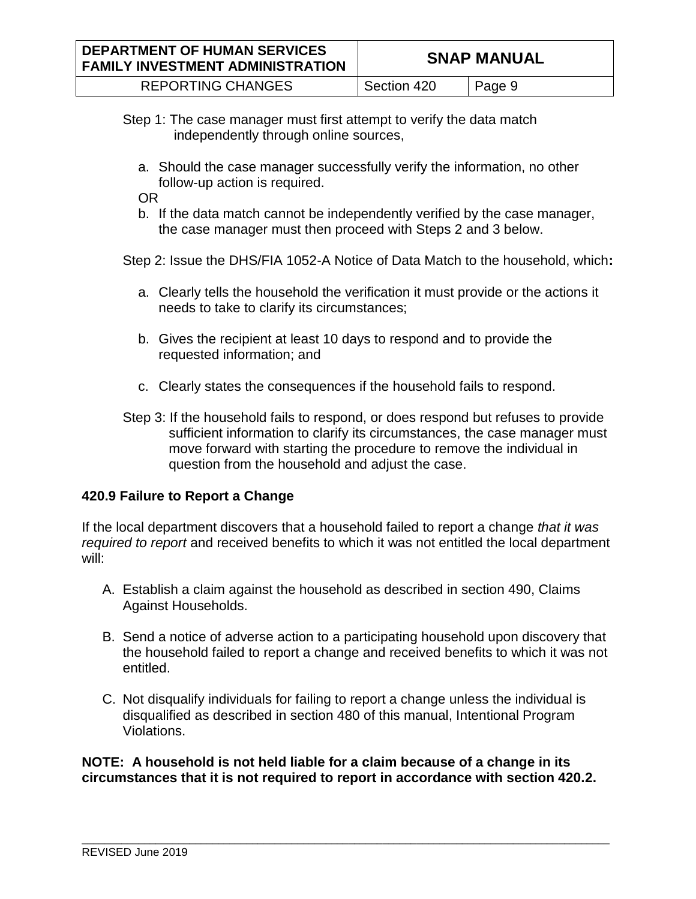| <b>DEPARTMENT OF HUMAN SERVICES</b><br><b>FAMILY INVESTMENT ADMINISTRATION</b> |             | <b>SNAP MANUAL</b> |
|--------------------------------------------------------------------------------|-------------|--------------------|
| <b>REPORTING CHANGES</b>                                                       | Section 420 | Page 9             |

- Step 1: The case manager must first attempt to verify the data match independently through online sources,
	- a. Should the case manager successfully verify the information, no other follow-up action is required.

OR

b. If the data match cannot be independently verified by the case manager, the case manager must then proceed with Steps 2 and 3 below.

Step 2: Issue the DHS/FIA 1052-A Notice of Data Match to the household, which**:**

- a. Clearly tells the household the verification it must provide or the actions it needs to take to clarify its circumstances;
- b. Gives the recipient at least 10 days to respond and to provide the requested information; and
- c. Clearly states the consequences if the household fails to respond.
- Step 3: If the household fails to respond, or does respond but refuses to provide sufficient information to clarify its circumstances, the case manager must move forward with starting the procedure to remove the individual in question from the household and adjust the case.

# **420.9 Failure to Report a Change**

If the local department discovers that a household failed to report a change *that it was required to report* and received benefits to which it was not entitled the local department will:

- A. Establish a claim against the household as described in section 490, Claims Against Households.
- B. Send a notice of adverse action to a participating household upon discovery that the household failed to report a change and received benefits to which it was not entitled.
- C. Not disqualify individuals for failing to report a change unless the individual is disqualified as described in section 480 of this manual, Intentional Program Violations.

**NOTE: A household is not held liable for a claim because of a change in its circumstances that it is not required to report in accordance with section 420.2.**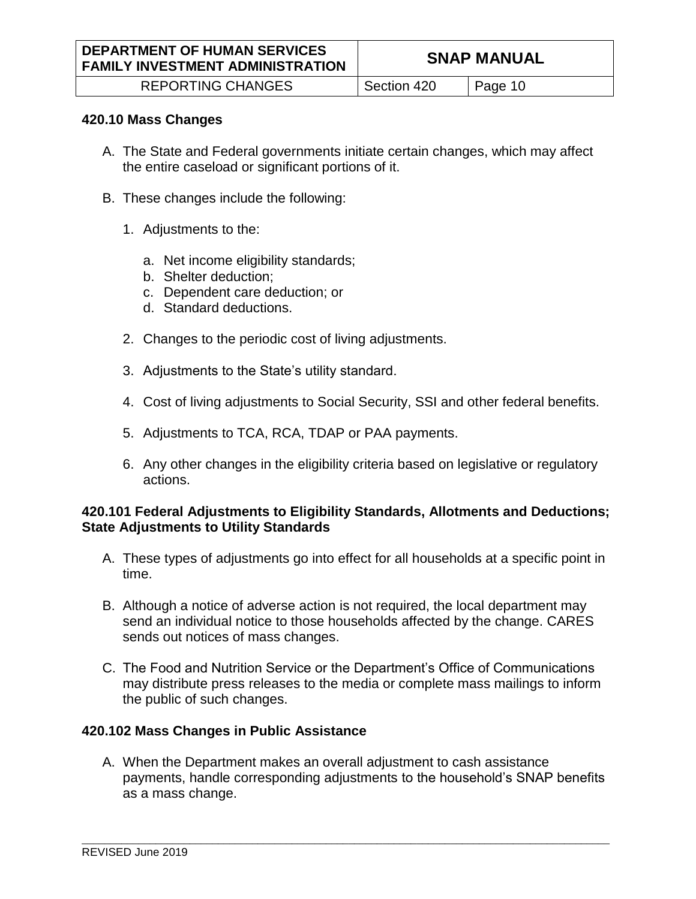#### **420.10 Mass Changes**

- A. The State and Federal governments initiate certain changes, which may affect the entire caseload or significant portions of it.
- B. These changes include the following:
	- 1. Adjustments to the:
		- a. Net income eligibility standards;
		- b. Shelter deduction;
		- c. Dependent care deduction; or
		- d. Standard deductions.
	- 2. Changes to the periodic cost of living adjustments.
	- 3. Adjustments to the State's utility standard.
	- 4. Cost of living adjustments to Social Security, SSI and other federal benefits.
	- 5. Adjustments to TCA, RCA, TDAP or PAA payments.
	- 6. Any other changes in the eligibility criteria based on legislative or regulatory actions.

#### **420.101 Federal Adjustments to Eligibility Standards, Allotments and Deductions; State Adjustments to Utility Standards**

- A. These types of adjustments go into effect for all households at a specific point in time.
- B. Although a notice of adverse action is not required, the local department may send an individual notice to those households affected by the change. CARES sends out notices of mass changes.
- C. The Food and Nutrition Service or the Department's Office of Communications may distribute press releases to the media or complete mass mailings to inform the public of such changes.

## **420.102 Mass Changes in Public Assistance**

A. When the Department makes an overall adjustment to cash assistance payments, handle corresponding adjustments to the household's SNAP benefits as a mass change.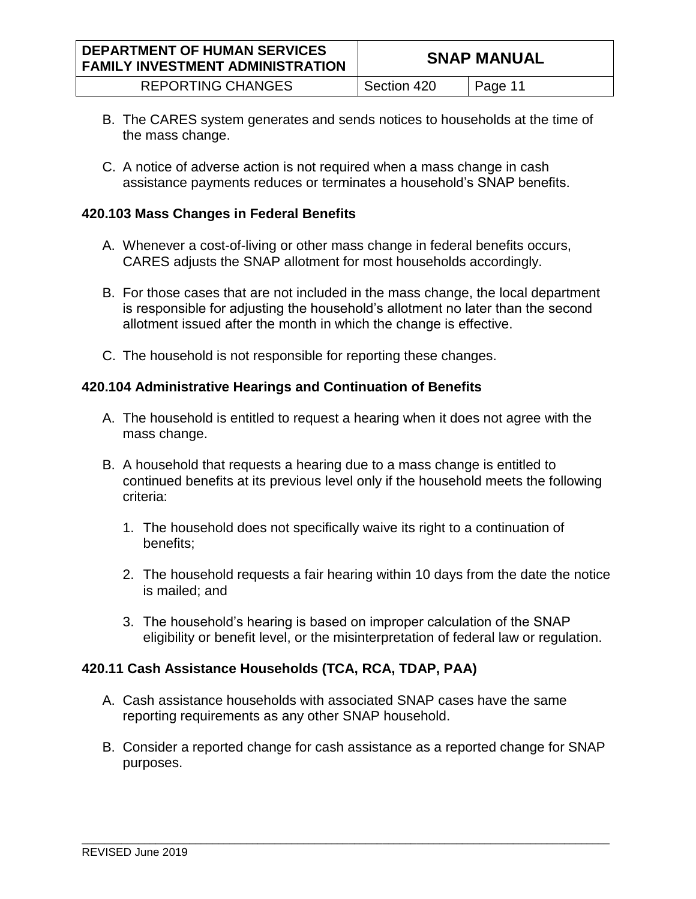| <b>DEPARTMENT OF HUMAN SERVICES</b><br><b>FAMILY INVESTMENT ADMINISTRATION</b> |             | <b>SNAP MANUAL</b> |
|--------------------------------------------------------------------------------|-------------|--------------------|
| <b>REPORTING CHANGES</b>                                                       | Section 420 | Page 11            |

- B. The CARES system generates and sends notices to households at the time of the mass change.
- C. A notice of adverse action is not required when a mass change in cash assistance payments reduces or terminates a household's SNAP benefits.

## **420.103 Mass Changes in Federal Benefits**

- A. Whenever a cost-of-living or other mass change in federal benefits occurs, CARES adjusts the SNAP allotment for most households accordingly.
- B. For those cases that are not included in the mass change, the local department is responsible for adjusting the household's allotment no later than the second allotment issued after the month in which the change is effective.
- C. The household is not responsible for reporting these changes.

## **420.104 Administrative Hearings and Continuation of Benefits**

- A. The household is entitled to request a hearing when it does not agree with the mass change.
- B. A household that requests a hearing due to a mass change is entitled to continued benefits at its previous level only if the household meets the following criteria:
	- 1. The household does not specifically waive its right to a continuation of benefits;
	- 2. The household requests a fair hearing within 10 days from the date the notice is mailed; and
	- 3. The household's hearing is based on improper calculation of the SNAP eligibility or benefit level, or the misinterpretation of federal law or regulation.

## **420.11 Cash Assistance Households (TCA, RCA, TDAP, PAA)**

- A. Cash assistance households with associated SNAP cases have the same reporting requirements as any other SNAP household.
- B. Consider a reported change for cash assistance as a reported change for SNAP purposes.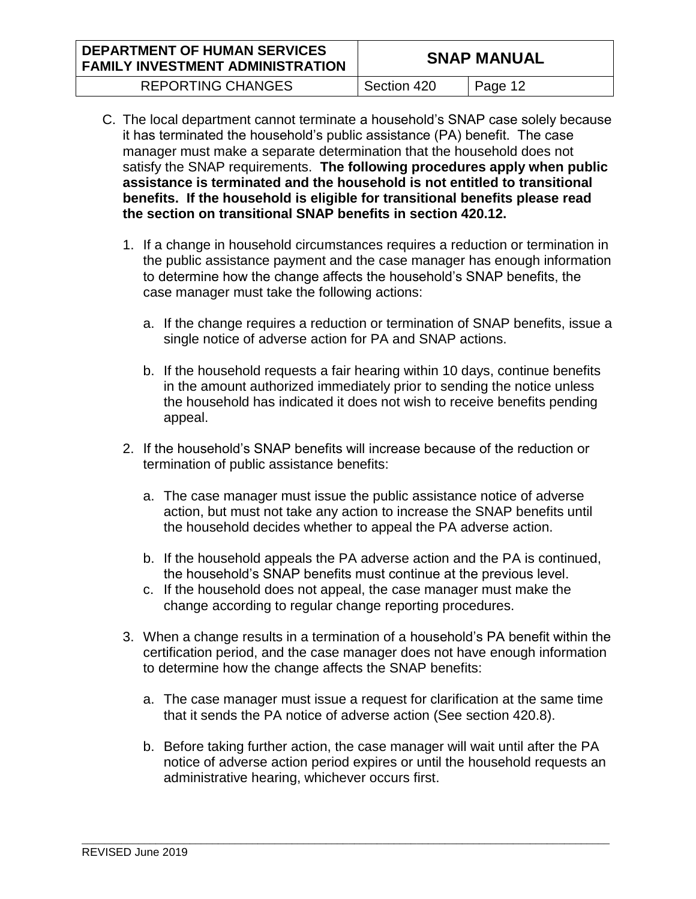| <b>DEPARTMENT OF HUMAN SERVICES</b><br><b>FAMILY INVESTMENT ADMINISTRATION</b> |             | <b>SNAP MANUAL</b> |
|--------------------------------------------------------------------------------|-------------|--------------------|
| <b>REPORTING CHANGES</b>                                                       | Section 420 | Page 12            |

- C. The local department cannot terminate a household's SNAP case solely because it has terminated the household's public assistance (PA) benefit. The case manager must make a separate determination that the household does not satisfy the SNAP requirements. **The following procedures apply when public assistance is terminated and the household is not entitled to transitional benefits. If the household is eligible for transitional benefits please read the section on transitional SNAP benefits in section 420.12.** 
	- 1. If a change in household circumstances requires a reduction or termination in the public assistance payment and the case manager has enough information to determine how the change affects the household's SNAP benefits, the case manager must take the following actions:
		- a. If the change requires a reduction or termination of SNAP benefits, issue a single notice of adverse action for PA and SNAP actions.
		- b. If the household requests a fair hearing within 10 days, continue benefits in the amount authorized immediately prior to sending the notice unless the household has indicated it does not wish to receive benefits pending appeal.
	- 2. If the household's SNAP benefits will increase because of the reduction or termination of public assistance benefits:
		- a. The case manager must issue the public assistance notice of adverse action, but must not take any action to increase the SNAP benefits until the household decides whether to appeal the PA adverse action.
		- b. If the household appeals the PA adverse action and the PA is continued, the household's SNAP benefits must continue at the previous level.
		- c. If the household does not appeal, the case manager must make the change according to regular change reporting procedures.
	- 3. When a change results in a termination of a household's PA benefit within the certification period, and the case manager does not have enough information to determine how the change affects the SNAP benefits:
		- a. The case manager must issue a request for clarification at the same time that it sends the PA notice of adverse action (See section 420.8).
		- b. Before taking further action, the case manager will wait until after the PA notice of adverse action period expires or until the household requests an administrative hearing, whichever occurs first.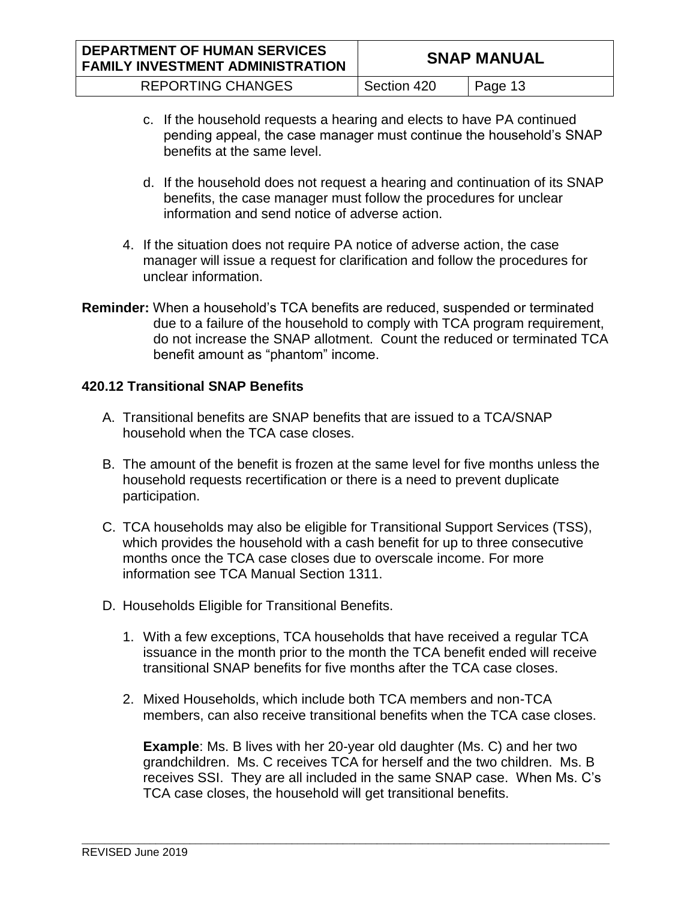| <b>DEPARTMENT OF HUMAN SERVICES</b><br><b>FAMILY INVESTMENT ADMINISTRATION</b> |             | <b>SNAP MANUAL</b> |
|--------------------------------------------------------------------------------|-------------|--------------------|
| <b>REPORTING CHANGES</b>                                                       | Section 420 | Page 13            |

- c. If the household requests a hearing and elects to have PA continued pending appeal, the case manager must continue the household's SNAP benefits at the same level.
- d. If the household does not request a hearing and continuation of its SNAP benefits, the case manager must follow the procedures for unclear information and send notice of adverse action.
- 4. If the situation does not require PA notice of adverse action, the case manager will issue a request for clarification and follow the procedures for unclear information.
- **Reminder:** When a household's TCA benefits are reduced, suspended or terminated due to a failure of the household to comply with TCA program requirement, do not increase the SNAP allotment. Count the reduced or terminated TCA benefit amount as "phantom" income.

# **420.12 Transitional SNAP Benefits**

- A. Transitional benefits are SNAP benefits that are issued to a TCA/SNAP household when the TCA case closes.
- B. The amount of the benefit is frozen at the same level for five months unless the household requests recertification or there is a need to prevent duplicate participation.
- C. TCA households may also be eligible for Transitional Support Services (TSS), which provides the household with a cash benefit for up to three consecutive months once the TCA case closes due to overscale income. For more information see TCA Manual Section 1311.
- D. Households Eligible for Transitional Benefits.
	- 1. With a few exceptions, TCA households that have received a regular TCA issuance in the month prior to the month the TCA benefit ended will receive transitional SNAP benefits for five months after the TCA case closes.
	- 2. Mixed Households, which include both TCA members and non-TCA members, can also receive transitional benefits when the TCA case closes.

**Example**: Ms. B lives with her 20-year old daughter (Ms. C) and her two grandchildren. Ms. C receives TCA for herself and the two children. Ms. B receives SSI. They are all included in the same SNAP case. When Ms. C's TCA case closes, the household will get transitional benefits.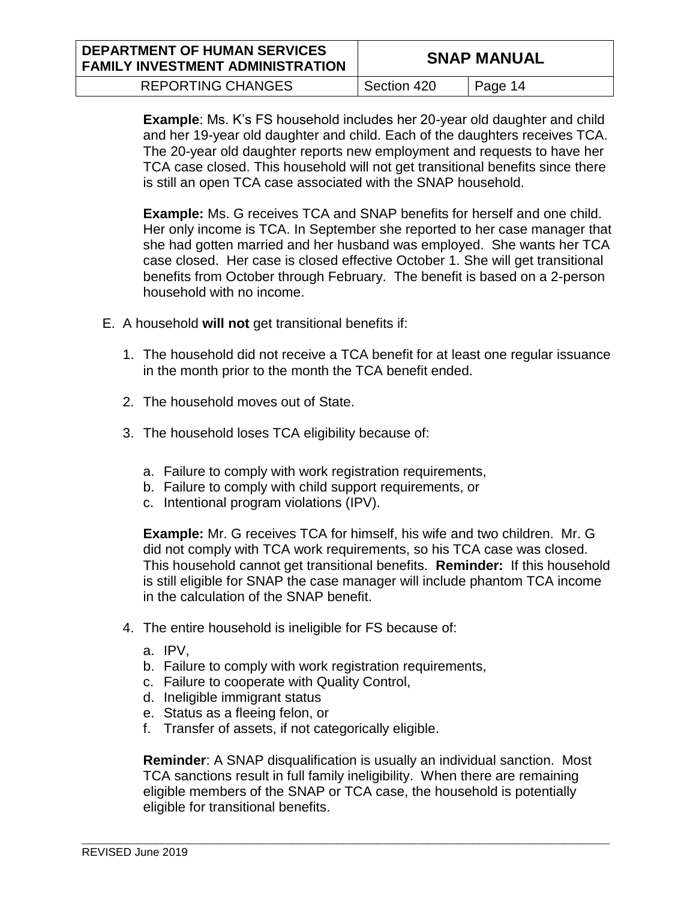| <b>DEPARTMENT OF HUMAN SERVICES</b><br><b>FAMILY INVESTMENT ADMINISTRATION</b> |             | <b>SNAP MANUAL</b> |
|--------------------------------------------------------------------------------|-------------|--------------------|
| <b>REPORTING CHANGES</b>                                                       | Section 420 | Page 14            |

**Example**: Ms. K's FS household includes her 20-year old daughter and child and her 19-year old daughter and child. Each of the daughters receives TCA. The 20-year old daughter reports new employment and requests to have her TCA case closed. This household will not get transitional benefits since there is still an open TCA case associated with the SNAP household.

**Example:** Ms. G receives TCA and SNAP benefits for herself and one child. Her only income is TCA. In September she reported to her case manager that she had gotten married and her husband was employed. She wants her TCA case closed. Her case is closed effective October 1. She will get transitional benefits from October through February. The benefit is based on a 2-person household with no income.

- E. A household **will not** get transitional benefits if:
	- 1. The household did not receive a TCA benefit for at least one regular issuance in the month prior to the month the TCA benefit ended.
	- 2. The household moves out of State.
	- 3. The household loses TCA eligibility because of:
		- a. Failure to comply with work registration requirements,
		- b. Failure to comply with child support requirements, or
		- c. Intentional program violations (IPV).

**Example:** Mr. G receives TCA for himself, his wife and two children. Mr. G did not comply with TCA work requirements, so his TCA case was closed. This household cannot get transitional benefits. **Reminder:** If this household is still eligible for SNAP the case manager will include phantom TCA income in the calculation of the SNAP benefit.

- 4. The entire household is ineligible for FS because of:
	- a. IPV,
	- b. Failure to comply with work registration requirements,
	- c. Failure to cooperate with Quality Control,
	- d. Ineligible immigrant status
	- e. Status as a fleeing felon, or
	- f. Transfer of assets, if not categorically eligible.

**Reminder**: A SNAP disqualification is usually an individual sanction. Most TCA sanctions result in full family ineligibility. When there are remaining eligible members of the SNAP or TCA case, the household is potentially eligible for transitional benefits.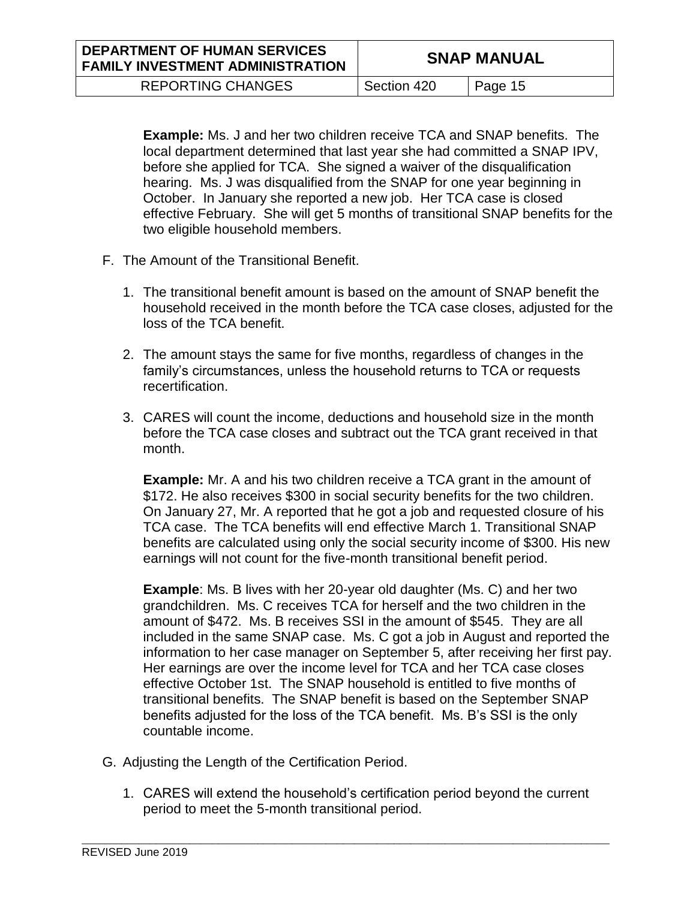**Example:** Ms. J and her two children receive TCA and SNAP benefits. The local department determined that last year she had committed a SNAP IPV, before she applied for TCA. She signed a waiver of the disqualification hearing. Ms. J was disqualified from the SNAP for one year beginning in October. In January she reported a new job. Her TCA case is closed effective February. She will get 5 months of transitional SNAP benefits for the two eligible household members.

- F. The Amount of the Transitional Benefit.
	- 1. The transitional benefit amount is based on the amount of SNAP benefit the household received in the month before the TCA case closes, adjusted for the loss of the TCA benefit.
	- 2. The amount stays the same for five months, regardless of changes in the family's circumstances, unless the household returns to TCA or requests recertification.
	- 3. CARES will count the income, deductions and household size in the month before the TCA case closes and subtract out the TCA grant received in that month.

**Example:** Mr. A and his two children receive a TCA grant in the amount of \$172. He also receives \$300 in social security benefits for the two children. On January 27, Mr. A reported that he got a job and requested closure of his TCA case. The TCA benefits will end effective March 1. Transitional SNAP benefits are calculated using only the social security income of \$300. His new earnings will not count for the five-month transitional benefit period.

**Example**: Ms. B lives with her 20-year old daughter (Ms. C) and her two grandchildren. Ms. C receives TCA for herself and the two children in the amount of \$472. Ms. B receives SSI in the amount of \$545. They are all included in the same SNAP case. Ms. C got a job in August and reported the information to her case manager on September 5, after receiving her first pay. Her earnings are over the income level for TCA and her TCA case closes effective October 1st. The SNAP household is entitled to five months of transitional benefits. The SNAP benefit is based on the September SNAP benefits adjusted for the loss of the TCA benefit. Ms. B's SSI is the only countable income.

- G. Adjusting the Length of the Certification Period.
	- 1. CARES will extend the household's certification period beyond the current period to meet the 5-month transitional period.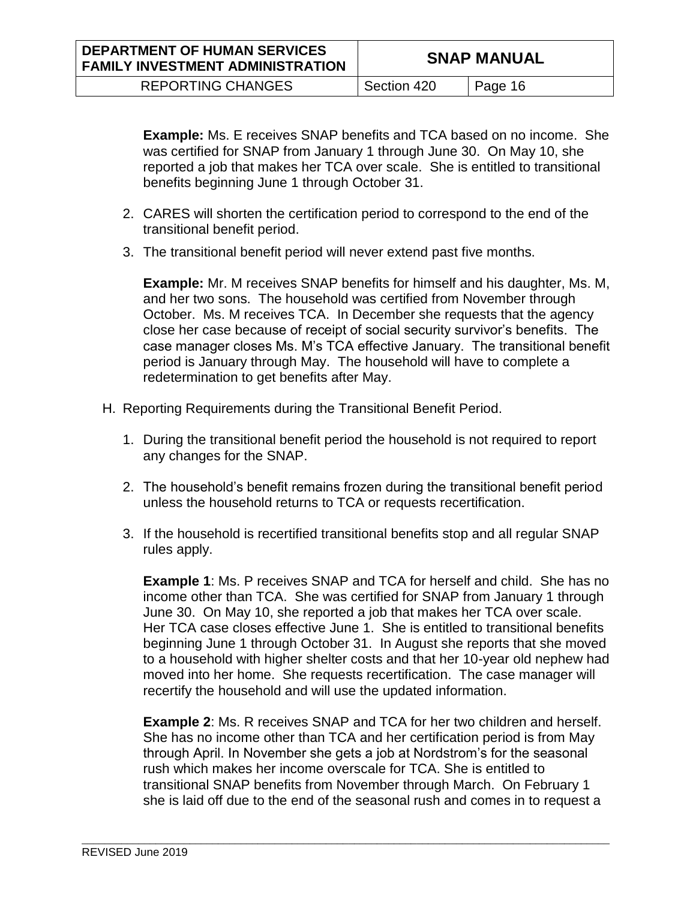**Example:** Ms. E receives SNAP benefits and TCA based on no income. She was certified for SNAP from January 1 through June 30. On May 10, she reported a job that makes her TCA over scale. She is entitled to transitional benefits beginning June 1 through October 31.

- 2. CARES will shorten the certification period to correspond to the end of the transitional benefit period.
- 3. The transitional benefit period will never extend past five months.

**Example:** Mr. M receives SNAP benefits for himself and his daughter, Ms. M, and her two sons. The household was certified from November through October. Ms. M receives TCA. In December she requests that the agency close her case because of receipt of social security survivor's benefits. The case manager closes Ms. M's TCA effective January. The transitional benefit period is January through May. The household will have to complete a redetermination to get benefits after May.

- H. Reporting Requirements during the Transitional Benefit Period.
	- 1. During the transitional benefit period the household is not required to report any changes for the SNAP.
	- 2. The household's benefit remains frozen during the transitional benefit period unless the household returns to TCA or requests recertification.
	- 3. If the household is recertified transitional benefits stop and all regular SNAP rules apply.

**Example 1**: Ms. P receives SNAP and TCA for herself and child. She has no income other than TCA. She was certified for SNAP from January 1 through June 30. On May 10, she reported a job that makes her TCA over scale. Her TCA case closes effective June 1. She is entitled to transitional benefits beginning June 1 through October 31. In August she reports that she moved to a household with higher shelter costs and that her 10-year old nephew had moved into her home. She requests recertification. The case manager will recertify the household and will use the updated information.

**Example 2**: Ms. R receives SNAP and TCA for her two children and herself. She has no income other than TCA and her certification period is from May through April. In November she gets a job at Nordstrom's for the seasonal rush which makes her income overscale for TCA. She is entitled to transitional SNAP benefits from November through March. On February 1 she is laid off due to the end of the seasonal rush and comes in to request a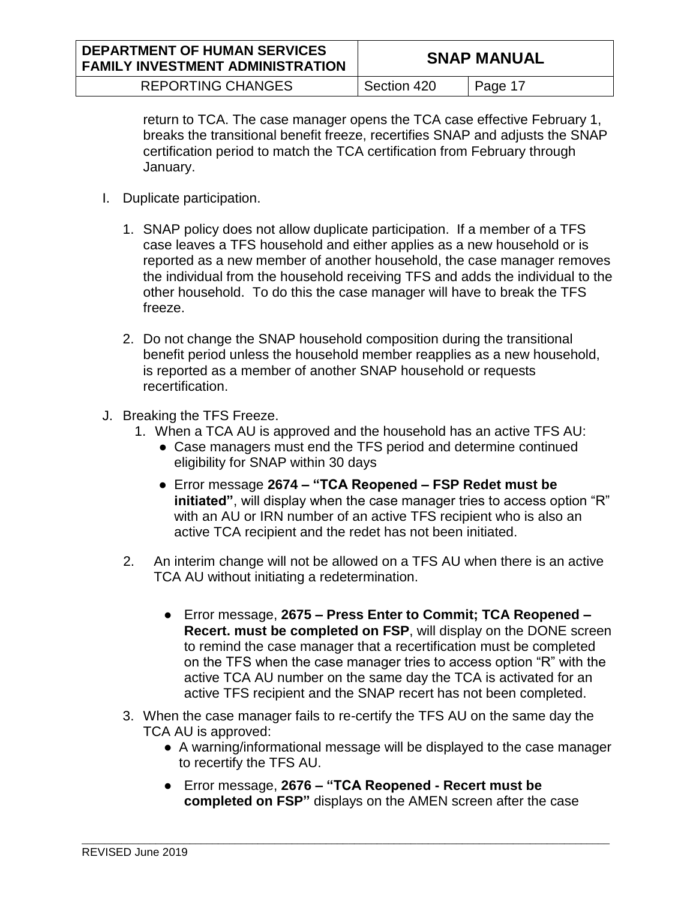| <b>DEPARTMENT OF HUMAN SERVICES</b><br><b>FAMILY INVESTMENT ADMINISTRATION</b> |             | <b>SNAP MANUAL</b> |
|--------------------------------------------------------------------------------|-------------|--------------------|
| <b>REPORTING CHANGES</b>                                                       | Section 420 | Page 17            |

return to TCA. The case manager opens the TCA case effective February 1, breaks the transitional benefit freeze, recertifies SNAP and adjusts the SNAP certification period to match the TCA certification from February through January.

- I. Duplicate participation.
	- 1. SNAP policy does not allow duplicate participation. If a member of a TFS case leaves a TFS household and either applies as a new household or is reported as a new member of another household, the case manager removes the individual from the household receiving TFS and adds the individual to the other household. To do this the case manager will have to break the TFS freeze.
	- 2. Do not change the SNAP household composition during the transitional benefit period unless the household member reapplies as a new household, is reported as a member of another SNAP household or requests recertification.
- J. Breaking the TFS Freeze.
	- 1. When a TCA AU is approved and the household has an active TFS AU:
		- Case managers must end the TFS period and determine continued eligibility for SNAP within 30 days
		- Error message **2674 – "TCA Reopened – FSP Redet must be initiated"**, will display when the case manager tries to access option "R" with an AU or IRN number of an active TFS recipient who is also an active TCA recipient and the redet has not been initiated.
	- 2. An interim change will not be allowed on a TFS AU when there is an active TCA AU without initiating a redetermination.
		- Error message, **2675 – Press Enter to Commit; TCA Reopened – Recert. must be completed on FSP**, will display on the DONE screen to remind the case manager that a recertification must be completed on the TFS when the case manager tries to access option "R" with the active TCA AU number on the same day the TCA is activated for an active TFS recipient and the SNAP recert has not been completed.
	- 3. When the case manager fails to re-certify the TFS AU on the same day the TCA AU is approved:
		- A warning/informational message will be displayed to the case manager to recertify the TFS AU.
		- Error message, **2676 – "TCA Reopened - Recert must be completed on FSP"** displays on the AMEN screen after the case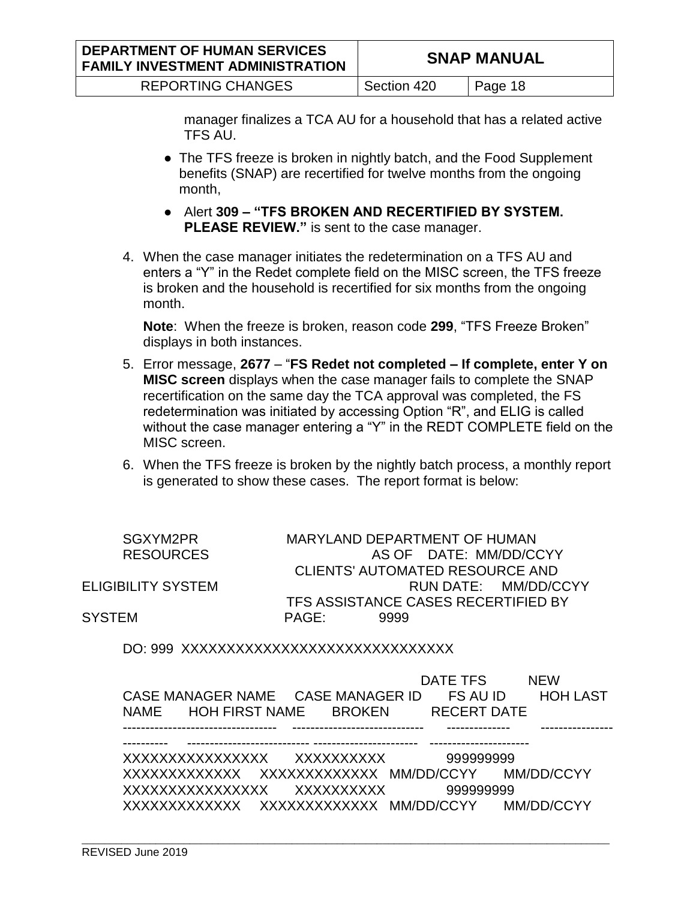manager finalizes a TCA AU for a household that has a related active TFS AU.

- The TFS freeze is broken in nightly batch, and the Food Supplement benefits (SNAP) are recertified for twelve months from the ongoing month,
- Alert **309 – "TFS BROKEN AND RECERTIFIED BY SYSTEM. PLEASE REVIEW."** is sent to the case manager.
- 4. When the case manager initiates the redetermination on a TFS AU and enters a "Y" in the Redet complete field on the MISC screen, the TFS freeze is broken and the household is recertified for six months from the ongoing month.

**Note**: When the freeze is broken, reason code **299**, "TFS Freeze Broken" displays in both instances.

- 5. Error message, **2677** "**FS Redet not completed – If complete, enter Y on MISC screen** displays when the case manager fails to complete the SNAP recertification on the same day the TCA approval was completed, the FS redetermination was initiated by accessing Option "R", and ELIG is called without the case manager entering a "Y" in the REDT COMPLETE field on the MISC screen.
- 6. When the TFS freeze is broken by the nightly batch process, a monthly report is generated to show these cases. The report format is below:

| SGXYM2PR           |       | MARYLAND DEPARTMENT OF HUMAN        |
|--------------------|-------|-------------------------------------|
| <b>RESOURCES</b>   |       | AS OF DATE: MM/DD/CCYY              |
|                    |       | CLIENTS' AUTOMATED RESOURCE AND     |
| ELIGIBILITY SYSTEM |       | RUN DATE: MM/DD/CCYY                |
|                    |       | TFS ASSISTANCE CASES RECERTIFIED BY |
| SYSTEM             | PAGF: | 9999                                |
|                    |       |                                     |

DO: 999 XXXXXXXXXXXXXXXXXXXXXXXXXXXXXX

|  | NAME HOH FIRST NAME BROKEN RECERT DATE | DATE TFS | <b>NEW</b>                                       |
|--|----------------------------------------|----------|--------------------------------------------------|
|  |                                        |          |                                                  |
|  |                                        |          | XXXXXXXXXXXX XXXXXXXXXXXXX MM/DD/CCYY MM/DD/CCYY |
|  |                                        |          |                                                  |
|  |                                        |          | XXXXXXXXXXXX XXXXXXXXXXXXX MM/DD/CCYY MM/DD/CCYY |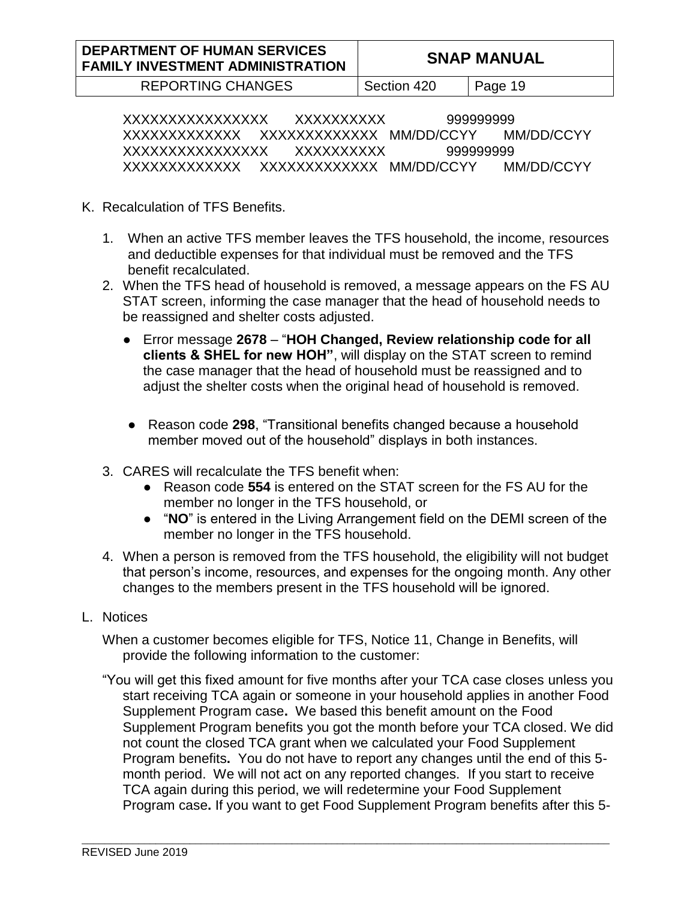REPORTING CHANGES | Section 420 | Page 19

XXXXXXXXXXXXXXXX XXXXXXXXXX 999999999 XXXXXXXXXXXXX XXXXXXXXXXXXX MM/DD/CCYY MM/DD/CCYY XXXXXXXXXXXXXXXX XXXXXXXXXX 999999999 XXXXXXXXXXXXX XXXXXXXXXXXXX MM/DD/CCYY MM/DD/CCYY

- K. Recalculation of TFS Benefits.
	- 1. When an active TFS member leaves the TFS household, the income, resources and deductible expenses for that individual must be removed and the TFS benefit recalculated.
	- 2. When the TFS head of household is removed, a message appears on the FS AU STAT screen, informing the case manager that the head of household needs to be reassigned and shelter costs adjusted.
		- Error message **2678**  "**HOH Changed, Review relationship code for all clients & SHEL for new HOH"**, will display on the STAT screen to remind the case manager that the head of household must be reassigned and to adjust the shelter costs when the original head of household is removed.
		- Reason code **298**, "Transitional benefits changed because a household member moved out of the household" displays in both instances.
	- 3. CARES will recalculate the TFS benefit when:
		- Reason code **554** is entered on the STAT screen for the FS AU for the member no longer in the TFS household, or
		- "**NO**" is entered in the Living Arrangement field on the DEMI screen of the member no longer in the TFS household.
	- 4. When a person is removed from the TFS household, the eligibility will not budget that person's income, resources, and expenses for the ongoing month. Any other changes to the members present in the TFS household will be ignored.
- L. Notices

When a customer becomes eligible for TFS, Notice 11, Change in Benefits, will provide the following information to the customer:

"You will get this fixed amount for five months after your TCA case closes unless you start receiving TCA again or someone in your household applies in another Food Supplement Program case**.** We based this benefit amount on the Food Supplement Program benefits you got the month before your TCA closed. We did not count the closed TCA grant when we calculated your Food Supplement Program benefits**.** You do not have to report any changes until the end of this 5 month period. We will not act on any reported changes.If you start to receive TCA again during this period, we will redetermine your Food Supplement Program case**.** If you want to get Food Supplement Program benefits after this 5-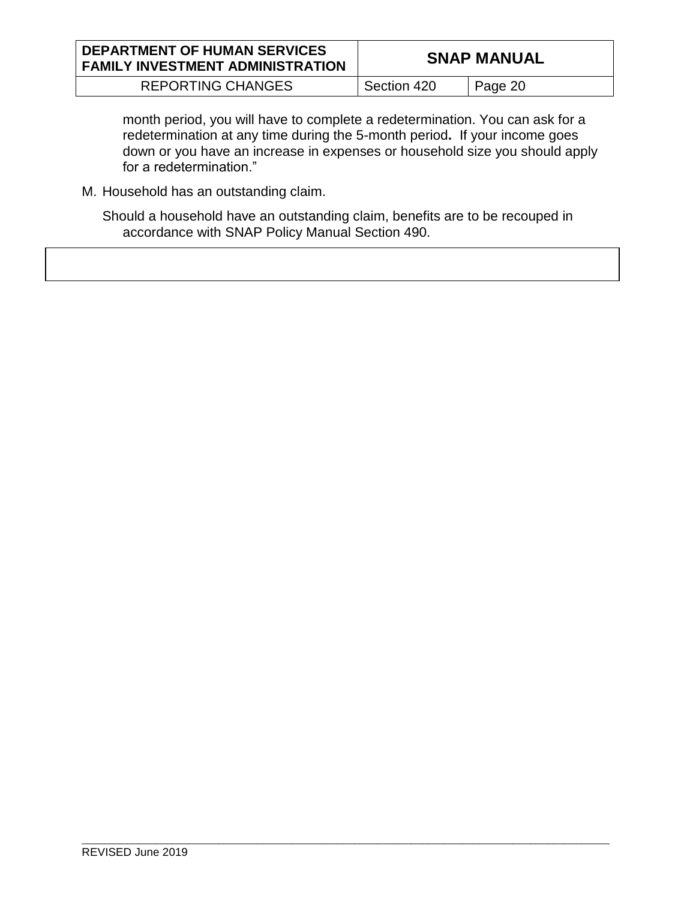| <b>DEPARTMENT OF HUMAN SERVICES</b><br><b>FAMILY INVESTMENT ADMINISTRATION</b> | <b>SNAP MANUAL</b> |         |  |
|--------------------------------------------------------------------------------|--------------------|---------|--|
| <b>REPORTING CHANGES</b>                                                       | Section 420        | Page 20 |  |

month period, you will have to complete a redetermination. You can ask for a redetermination at any time during the 5-month period**.** If your income goes down or you have an increase in expenses or household size you should apply for a redetermination."

M. Household has an outstanding claim.

Should a household have an outstanding claim, benefits are to be recouped in accordance with SNAP Policy Manual Section 490.